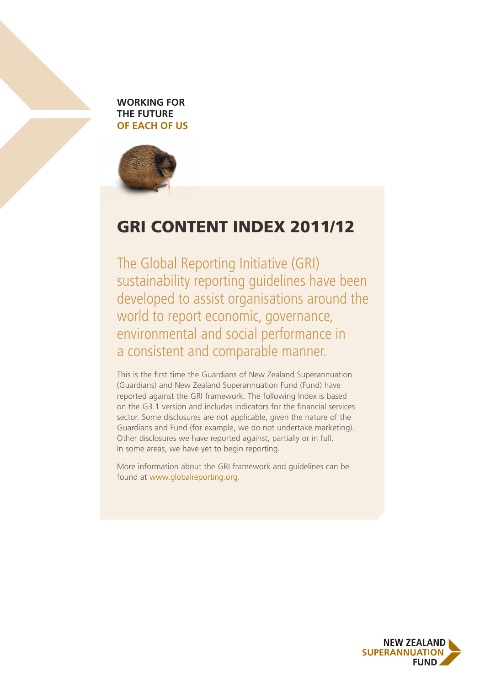



### GRI CONTENT INDEX 2011/12

The Global Reporting Initiative (GRI) sustainability reporting guidelines have been developed to assist organisations around the world to report economic, governance, environmental and social performance in a consistent and comparable manner.

This is the first time the Guardians of New Zealand Superannuation (Guardians) and New Zealand Superannuation Fund (Fund) have reported against the GRI framework. The following Index is based on the G3.1 version and includes indicators for the financial services sector. Some disclosures are not applicable, given the nature of the Guardians and Fund (for example, we do not undertake marketing). Other disclosures we have reported against, partially or in full. In some areas, we have yet to begin reporting.

More information about the GRI framework and guidelines can be found at [www.globalreporting.org.](http://www.globalreporting.org)

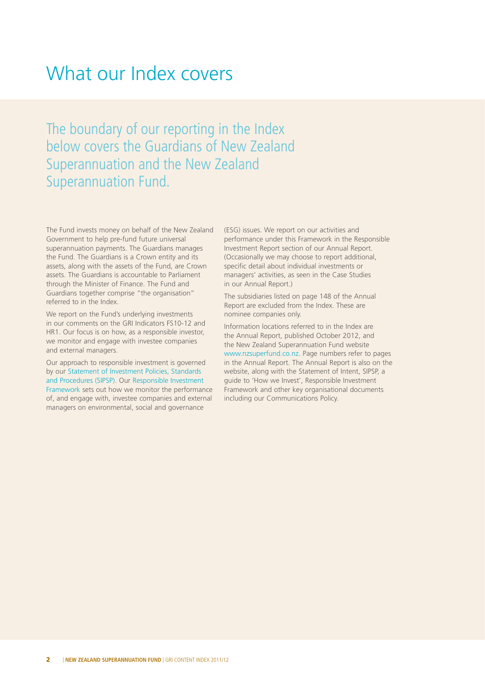## What our Index covers

The boundary of our reporting in the Index below covers the Guardians of New Zealand Superannuation and the New Zealand Superannuation Fund.

The Fund invests money on behalf of the New Zealand Government to help pre-fund future universal superannuation payments. The Guardians manages the Fund. The Guardians is a Crown entity and its assets, along with the assets of the Fund, are Crown assets. The Guardians is accountable to Parliament through the Minister of Finance. The Fund and Guardians together comprise "the organisation" referred to in the Index.

We report on the Fund's underlying investments in our comments on the GRI Indicators FS10-12 and HR1. Our focus is on how, as a responsible investor, we monitor and engage with investee companies and external managers.

Our approach to responsible investment is governed by our [Statement of Investment Policies, Standards](http://www.nzsuperfund.co.nz/index.asp?pageID=2145879230)  [and Procedures \(SIPSP\).](http://www.nzsuperfund.co.nz/index.asp?pageID=2145879230) Our [Responsible Investment](http://www.nzsuperfund.co.nz/files/Responsible Investment documents/Responsible_Investment_Framework.pdf)  [Framework](http://www.nzsuperfund.co.nz/files/Responsible Investment documents/Responsible_Investment_Framework.pdf) sets out how we monitor the performance of, and engage with, investee companies and external managers on environmental, social and governance

(ESG) issues. We report on our activities and performance under this Framework in the Responsible Investment Report section of our Annual Report. (Occasionally we may choose to report additional, specific detail about individual investments or managers' activities, as seen in the Case Studies in our Annual Report.)

The subsidiaries listed on page 148 of the Annual Report are excluded from the Index. These are nominee companies only.

Information locations referred to in the Index are the Annual Report, published October 2012, and the New Zealand Superannuation Fund website [www.nzsuperfund.co.nz.](http://www.nzsuperfund.co.nz) Page numbers refer to pages in the Annual Report. The Annual Report is also on the website, along with the Statement of Intent, SIPSP, a guide to 'How we Invest', Responsible Investment Framework and other key organisational documents including our Communications Policy.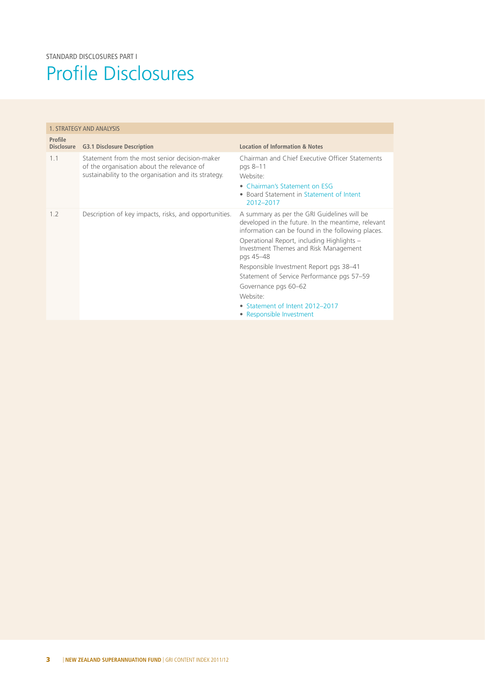# Profile Disclosures

| 1. STRATEGY AND ANALYSIS     |                                                                                                                                                     |                                                                                                                                                                                                                                                                                                                                                                                                                                                        |
|------------------------------|-----------------------------------------------------------------------------------------------------------------------------------------------------|--------------------------------------------------------------------------------------------------------------------------------------------------------------------------------------------------------------------------------------------------------------------------------------------------------------------------------------------------------------------------------------------------------------------------------------------------------|
| Profile<br><b>Disclosure</b> | <b>G3.1 Disclosure Description</b>                                                                                                                  | Location of Information & Notes                                                                                                                                                                                                                                                                                                                                                                                                                        |
| 1 <sub>1</sub>               | Statement from the most senior decision-maker<br>of the organisation about the relevance of<br>sustainability to the organisation and its strategy. | Chairman and Chief Executive Officer Statements<br>pgs 8-11<br>Website:<br>• Chairman's Statement on ESG<br>• Board Statement in Statement of Intent<br>2012-2017                                                                                                                                                                                                                                                                                      |
| 1.2                          | Description of key impacts, risks, and opportunities.                                                                                               | A summary as per the GRI Guidelines will be<br>developed in the future. In the meantime, relevant<br>information can be found in the following places.<br>Operational Report, including Highlights -<br>Investment Themes and Risk Management<br>pgs 45–48<br>Responsible Investment Report pgs 38-41<br>Statement of Service Performance pgs 57-59<br>Governance pgs 60-62<br>Website:<br>• Statement of Intent 2012-2017<br>• Responsible Investment |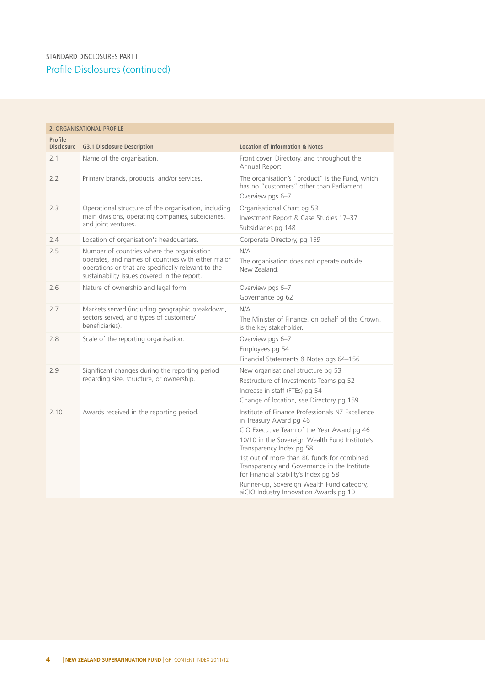#### Profile Disclosures (continued) STANDARD DISCLOSURES PART I

| 2. ORGANISATIONAL PROFILE    |                                                                                                                                                                                                         |                                                                                                                                                                                                                                                                                                                                                                                                                                        |
|------------------------------|---------------------------------------------------------------------------------------------------------------------------------------------------------------------------------------------------------|----------------------------------------------------------------------------------------------------------------------------------------------------------------------------------------------------------------------------------------------------------------------------------------------------------------------------------------------------------------------------------------------------------------------------------------|
| Profile<br><b>Disclosure</b> | <b>G3.1 Disclosure Description</b>                                                                                                                                                                      | <b>Location of Information &amp; Notes</b>                                                                                                                                                                                                                                                                                                                                                                                             |
| 2.1                          | Name of the organisation.                                                                                                                                                                               | Front cover, Directory, and throughout the<br>Annual Report.                                                                                                                                                                                                                                                                                                                                                                           |
| 2.2                          | Primary brands, products, and/or services.                                                                                                                                                              | The organisation's "product" is the Fund, which<br>has no "customers" other than Parliament.<br>Overview pas 6-7                                                                                                                                                                                                                                                                                                                       |
| 2.3                          | Operational structure of the organisation, including<br>main divisions, operating companies, subsidiaries,<br>and joint ventures.                                                                       | Organisational Chart pg 53<br>Investment Report & Case Studies 17-37<br>Subsidiaries pg 148                                                                                                                                                                                                                                                                                                                                            |
| 2.4                          | Location of organisation's headquarters.                                                                                                                                                                | Corporate Directory, pg 159                                                                                                                                                                                                                                                                                                                                                                                                            |
| 2.5                          | Number of countries where the organisation<br>operates, and names of countries with either major<br>operations or that are specifically relevant to the<br>sustainability issues covered in the report. | N/A<br>The organisation does not operate outside<br>New Zealand.                                                                                                                                                                                                                                                                                                                                                                       |
| 2.6                          | Nature of ownership and legal form.                                                                                                                                                                     | Overview pgs 6-7<br>Governance pg 62                                                                                                                                                                                                                                                                                                                                                                                                   |
| 2.7                          | Markets served (including geographic breakdown,<br>sectors served, and types of customers/<br>beneficiaries).                                                                                           | N/A<br>The Minister of Finance, on behalf of the Crown,<br>is the key stakeholder.                                                                                                                                                                                                                                                                                                                                                     |
| 2.8                          | Scale of the reporting organisation.                                                                                                                                                                    | Overview pgs 6-7<br>Employees pg 54<br>Financial Statements & Notes pgs 64-156                                                                                                                                                                                                                                                                                                                                                         |
| 2.9                          | Significant changes during the reporting period<br>regarding size, structure, or ownership.                                                                                                             | New organisational structure pg 53<br>Restructure of Investments Teams pg 52<br>Increase in staff (FTEs) pg 54<br>Change of location, see Directory pg 159                                                                                                                                                                                                                                                                             |
| 2.10                         | Awards received in the reporting period.                                                                                                                                                                | Institute of Finance Professionals NZ Excellence<br>in Treasury Award pg 46<br>CIO Executive Team of the Year Award pg 46<br>10/10 in the Sovereign Wealth Fund Institute's<br>Transparency Index pg 58<br>1st out of more than 80 funds for combined<br>Transparency and Governance in the Institute<br>for Financial Stability's Index pg 58<br>Runner-up, Sovereign Wealth Fund category,<br>aiCIO Industry Innovation Awards pg 10 |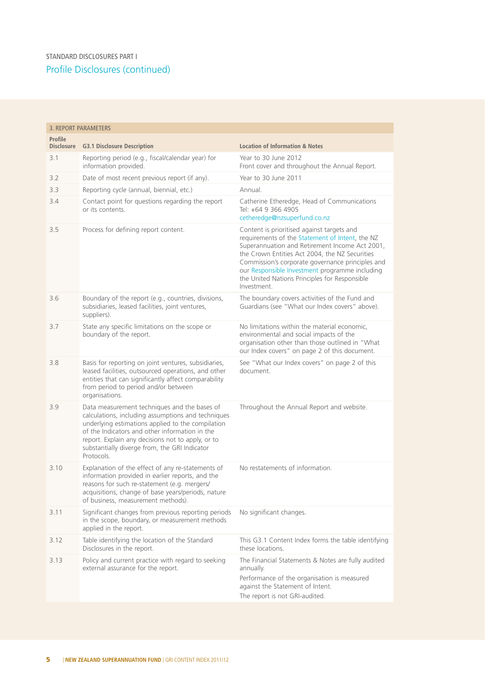#### Profile Disclosures (continued) STANDARD DISCLOSURES PART I

| <b>3. REPORT PARAMETERS</b> |                                                                                                                                                                                                                                                                                                                               |                                                                                                                                                                                                                                                                                                                                                                        |
|-----------------------------|-------------------------------------------------------------------------------------------------------------------------------------------------------------------------------------------------------------------------------------------------------------------------------------------------------------------------------|------------------------------------------------------------------------------------------------------------------------------------------------------------------------------------------------------------------------------------------------------------------------------------------------------------------------------------------------------------------------|
| Profile                     | Disclosure G3.1 Disclosure Description                                                                                                                                                                                                                                                                                        | <b>Location of Information &amp; Notes</b>                                                                                                                                                                                                                                                                                                                             |
| 3.1                         | Reporting period (e.g., fiscal/calendar year) for<br>information provided.                                                                                                                                                                                                                                                    | Year to 30 June 2012<br>Front cover and throughout the Annual Report.                                                                                                                                                                                                                                                                                                  |
| 3.2                         | Date of most recent previous report (if any).                                                                                                                                                                                                                                                                                 | Year to 30 June 2011                                                                                                                                                                                                                                                                                                                                                   |
| 3.3                         | Reporting cycle (annual, biennial, etc.)                                                                                                                                                                                                                                                                                      | Annual.                                                                                                                                                                                                                                                                                                                                                                |
| 3.4                         | Contact point for questions regarding the report<br>or its contents.                                                                                                                                                                                                                                                          | Catherine Etheredge, Head of Communications<br>Tel: +64 9 366 4905<br>cetheredge@nzsuperfund.co.nz                                                                                                                                                                                                                                                                     |
| 3.5                         | Process for defining report content.                                                                                                                                                                                                                                                                                          | Content is prioritised against targets and<br>requirements of the Statement of Intent, the NZ<br>Superannuation and Retirement Income Act 2001,<br>the Crown Entities Act 2004, the NZ Securities<br>Commission's corporate governance principles and<br>our Responsible Investment programme including<br>the United Nations Principles for Responsible<br>Investment |
| 3.6                         | Boundary of the report (e.g., countries, divisions,<br>subsidiaries, leased facilities, joint ventures,<br>suppliers).                                                                                                                                                                                                        | The boundary covers activities of the Fund and<br>Guardians (see "What our Index covers" above).                                                                                                                                                                                                                                                                       |
| 3.7                         | State any specific limitations on the scope or<br>boundary of the report.                                                                                                                                                                                                                                                     | No limitations within the material economic,<br>environmental and social impacts of the<br>organisation other than those outlined in "What<br>our Index covers" on page 2 of this document.                                                                                                                                                                            |
| 3.8                         | Basis for reporting on joint ventures, subsidiaries,<br>leased facilities, outsourced operations, and other<br>entities that can significantly affect comparability<br>from period to period and/or between<br>organisations.                                                                                                 | See "What our Index covers" on page 2 of this<br>document.                                                                                                                                                                                                                                                                                                             |
| 3.9                         | Data measurement techniques and the bases of<br>calculations, including assumptions and techniques<br>underlying estimations applied to the compilation<br>of the Indicators and other information in the<br>report. Explain any decisions not to apply, or to<br>substantially diverge from, the GRI Indicator<br>Protocols. | Throughout the Annual Report and website.                                                                                                                                                                                                                                                                                                                              |
| 3.10                        | Explanation of the effect of any re-statements of<br>information provided in earlier reports, and the<br>reasons for such re-statement (e.g. mergers/<br>acquisitions, change of base years/periods, nature<br>of business, measurement methods).                                                                             | No restatements of information.                                                                                                                                                                                                                                                                                                                                        |
| 3.11                        | Significant changes from previous reporting periods<br>in the scope, boundary, or measurement methods<br>applied in the report.                                                                                                                                                                                               | No significant changes.                                                                                                                                                                                                                                                                                                                                                |
| 3.12                        | Table identifying the location of the Standard<br>Disclosures in the report.                                                                                                                                                                                                                                                  | This G3.1 Content Index forms the table identifying<br>these locations.                                                                                                                                                                                                                                                                                                |
| 3.13                        | Policy and current practice with regard to seeking<br>external assurance for the report.                                                                                                                                                                                                                                      | The Financial Statements & Notes are fully audited<br>annually.<br>Performance of the organisation is measured<br>against the Statement of Intent.<br>The report is not GRI-audited.                                                                                                                                                                                   |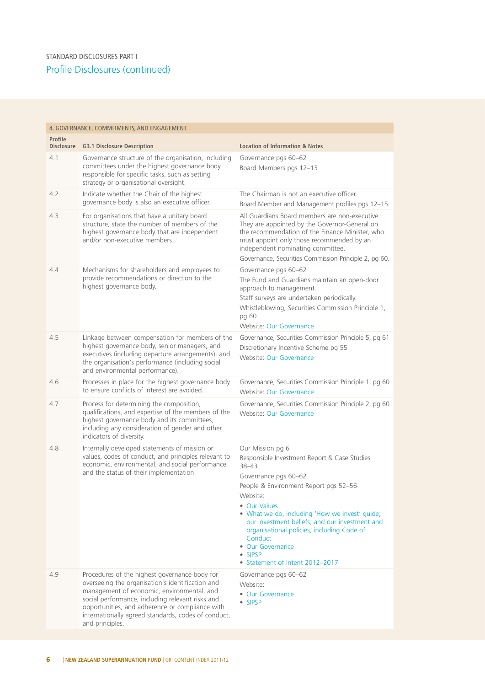| 4. GOVERNANCE, COMMITMENTS, AND ENGAGEMENT |                                                                                                                                                                                                                                                                                                                                  |                                                                                                                                                                                                                                                                                                                                                                                                       |
|--------------------------------------------|----------------------------------------------------------------------------------------------------------------------------------------------------------------------------------------------------------------------------------------------------------------------------------------------------------------------------------|-------------------------------------------------------------------------------------------------------------------------------------------------------------------------------------------------------------------------------------------------------------------------------------------------------------------------------------------------------------------------------------------------------|
| Profile<br><b>Disclosure</b>               | <b>G3.1 Disclosure Description</b>                                                                                                                                                                                                                                                                                               | <b>Location of Information &amp; Notes</b>                                                                                                                                                                                                                                                                                                                                                            |
| 4.1                                        | Governance structure of the organisation, including<br>committees under the highest governance body<br>responsible for specific tasks, such as setting<br>strategy or organisational oversight.                                                                                                                                  | Governance pgs 60-62<br>Board Members pgs 12-13                                                                                                                                                                                                                                                                                                                                                       |
| 4.2                                        | Indicate whether the Chair of the highest<br>governance body is also an executive officer.                                                                                                                                                                                                                                       | The Chairman is not an executive officer.<br>Board Member and Management profiles pgs 12-15.                                                                                                                                                                                                                                                                                                          |
| 4.3                                        | For organisations that have a unitary board<br>structure, state the number of members of the<br>highest governance body that are independent<br>and/or non-executive members.                                                                                                                                                    | All Guardians Board members are non-executive.<br>They are appointed by the Governor-General on<br>the recommendation of the Finance Minister, who<br>must appoint only those recommended by an<br>independent nominating committee.<br>Governance, Securities Commission Principle 2, pg 60.                                                                                                         |
| 4.4                                        | Mechanisms for shareholders and employees to<br>provide recommendations or direction to the<br>highest governance body.                                                                                                                                                                                                          | Governance pgs 60-62<br>The Fund and Guardians maintain an open-door<br>approach to management.<br>Staff surveys are undertaken periodically.<br>Whistleblowing, Securities Commission Principle 1,<br>pg 60<br>Website: Our Governance                                                                                                                                                               |
| 4.5                                        | Linkage between compensation for members of the<br>highest governance body, senior managers, and<br>executives (including departure arrangements), and<br>the organisation's performance (including social<br>and environmental performance).                                                                                    | Governance, Securities Commission Principle 5, pg 61<br>Discretionary Incentive Scheme pg 55<br>Website: Our Governance                                                                                                                                                                                                                                                                               |
| 4.6                                        | Processes in place for the highest governance body<br>to ensure conflicts of interest are avoided.                                                                                                                                                                                                                               | Governance, Securities Commission Principle 1, pg 60<br>Website: Our Governance                                                                                                                                                                                                                                                                                                                       |
| 4.7                                        | Process for determining the composition,<br>qualifications, and expertise of the members of the<br>highest governance body and its committees,<br>including any consideration of gender and other<br>indicators of diversity.                                                                                                    | Governance, Securities Commission Principle 2, pg 60<br>Website: Our Governance                                                                                                                                                                                                                                                                                                                       |
| 4.8                                        | Internally developed statements of mission or<br>values, codes of conduct, and principles relevant to<br>economic, environmental, and social performance<br>and the status of their implementation.                                                                                                                              | Our Mission pg 6<br>Responsible Investment Report & Case Studies<br>38-43<br>Governance pgs 60-62<br>People & Environment Report pgs 52-56<br>Website:<br>• Our Values<br>• What we do, including 'How we invest' guide;<br>our investment beliefs; and our investment and<br>organisational policies, including Code of<br>Conduct<br>• Our Governance<br>• SIPSP<br>• Statement of Intent 2012-2017 |
| 4.9                                        | Procedures of the highest governance body for<br>overseeing the organisation's identification and<br>management of economic, environmental, and<br>social performance, including relevant risks and<br>opportunities, and adherence or compliance with<br>internationally agreed standards, codes of conduct,<br>and principles. | Governance pgs 60-62<br>Website:<br>• Our Governance<br>• SIPSP                                                                                                                                                                                                                                                                                                                                       |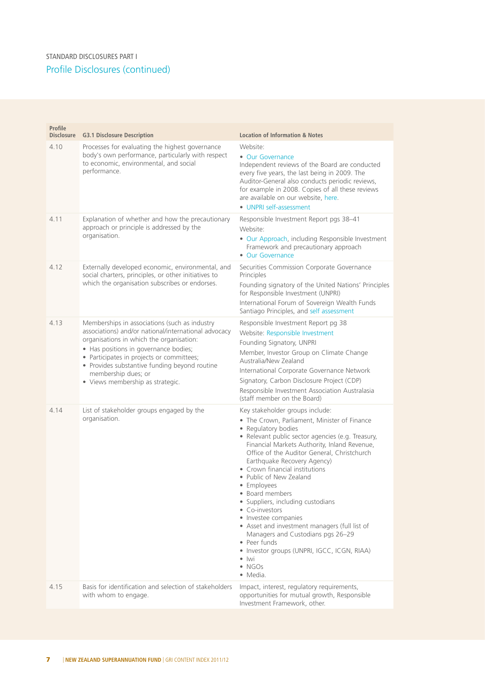| Profile<br><b>Disclosure</b> | <b>G3.1 Disclosure Description</b>                                                                                                                                                                                                                                                                                                                  | <b>Location of Information &amp; Notes</b>                                                                                                                                                                                                                                                                                                                                                                                                                                                                                                                                                                                                                                  |
|------------------------------|-----------------------------------------------------------------------------------------------------------------------------------------------------------------------------------------------------------------------------------------------------------------------------------------------------------------------------------------------------|-----------------------------------------------------------------------------------------------------------------------------------------------------------------------------------------------------------------------------------------------------------------------------------------------------------------------------------------------------------------------------------------------------------------------------------------------------------------------------------------------------------------------------------------------------------------------------------------------------------------------------------------------------------------------------|
| 4.10                         | Processes for evaluating the highest governance<br>body's own performance, particularly with respect<br>to economic, environmental, and social<br>performance.                                                                                                                                                                                      | Website:<br>• Our Governance<br>Independent reviews of the Board are conducted<br>every five years, the last being in 2009. The<br>Auditor-General also conducts periodic reviews,<br>for example in 2008. Copies of all these reviews<br>are available on our website, here.<br>• UNPRI self-assessment                                                                                                                                                                                                                                                                                                                                                                    |
| 4.11                         | Explanation of whether and how the precautionary<br>approach or principle is addressed by the<br>organisation.                                                                                                                                                                                                                                      | Responsible Investment Report pgs 38-41<br>Website:<br>• Our Approach, including Responsible Investment<br>Framework and precautionary approach<br>• Our Governance                                                                                                                                                                                                                                                                                                                                                                                                                                                                                                         |
| 4.12                         | Externally developed economic, environmental, and<br>social charters, principles, or other initiatives to<br>which the organisation subscribes or endorses.                                                                                                                                                                                         | Securities Commission Corporate Governance<br>Principles<br>Founding signatory of the United Nations' Principles<br>for Responsible Investment (UNPRI)<br>International Forum of Sovereign Wealth Funds<br>Santiago Principles, and self assessment                                                                                                                                                                                                                                                                                                                                                                                                                         |
| 4.13                         | Memberships in associations (such as industry<br>associations) and/or national/international advocacy<br>organisations in which the organisation:<br>• Has positions in governance bodies;<br>• Participates in projects or committees;<br>• Provides substantive funding beyond routine<br>membership dues; or<br>• Views membership as strategic. | Responsible Investment Report pg 38<br>Website: Responsible Investment<br>Founding Signatory, UNPRI<br>Member, Investor Group on Climate Change<br>Australia/New Zealand<br>International Corporate Governance Network<br>Signatory, Carbon Disclosure Project (CDP)<br>Responsible Investment Association Australasia<br>(staff member on the Board)                                                                                                                                                                                                                                                                                                                       |
| 4.14                         | List of stakeholder groups engaged by the<br>organisation.                                                                                                                                                                                                                                                                                          | Key stakeholder groups include:<br>• The Crown, Parliament, Minister of Finance<br>• Regulatory bodies<br>• Relevant public sector agencies (e.g. Treasury,<br>Financial Markets Authority, Inland Revenue,<br>Office of the Auditor General, Christchurch<br>Earthquake Recovery Agency)<br>• Crown financial institutions<br>• Public of New Zealand<br>• Employees<br>• Board members<br>• Suppliers, including custodians<br>• Co-investors<br>• Investee companies<br>• Asset and investment managers (full list of<br>Managers and Custodians pgs 26-29<br>• Peer funds<br>· Investor groups (UNPRI, IGCC, ICGN, RIAA)<br>$\bullet$ lwi<br>$\bullet$ NGOs<br>· Media. |
| 4.15                         | Basis for identification and selection of stakeholders<br>with whom to engage.                                                                                                                                                                                                                                                                      | Impact, interest, regulatory requirements,<br>opportunities for mutual growth, Responsible<br>Investment Framework, other.                                                                                                                                                                                                                                                                                                                                                                                                                                                                                                                                                  |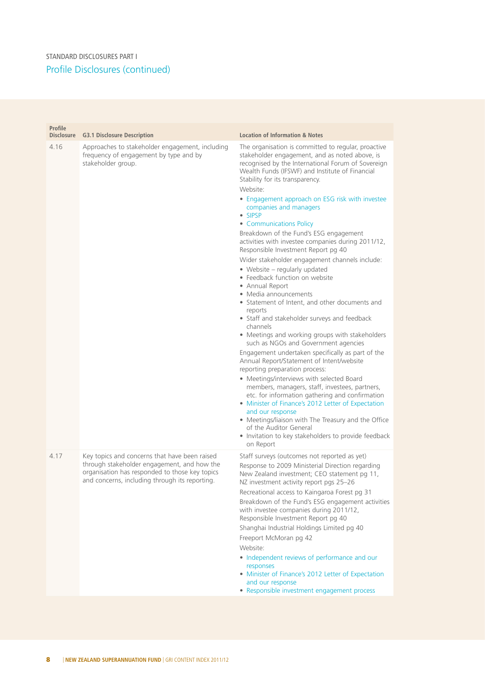| Profile<br><b>Disclosure</b> | <b>G3.1 Disclosure Description</b>                                                                                                                                                               | <b>Location of Information &amp; Notes</b>                                                                                                                                                                                                                                                                                                                                                                                                                                                                                                                                                                                                                                                                                                                                                                                                                                                                                                                                                                                                                                                                                                                                                                                                                                                                                                                                                                                         |
|------------------------------|--------------------------------------------------------------------------------------------------------------------------------------------------------------------------------------------------|------------------------------------------------------------------------------------------------------------------------------------------------------------------------------------------------------------------------------------------------------------------------------------------------------------------------------------------------------------------------------------------------------------------------------------------------------------------------------------------------------------------------------------------------------------------------------------------------------------------------------------------------------------------------------------------------------------------------------------------------------------------------------------------------------------------------------------------------------------------------------------------------------------------------------------------------------------------------------------------------------------------------------------------------------------------------------------------------------------------------------------------------------------------------------------------------------------------------------------------------------------------------------------------------------------------------------------------------------------------------------------------------------------------------------------|
| 4.16                         | Approaches to stakeholder engagement, including<br>frequency of engagement by type and by<br>stakeholder group.                                                                                  | The organisation is committed to regular, proactive<br>stakeholder engagement, and as noted above, is<br>recognised by the International Forum of Sovereign<br>Wealth Funds (IFSWF) and Institute of Financial<br>Stability for its transparency.<br>Website:<br>• Engagement approach on ESG risk with investee<br>companies and managers<br>• SIPSP<br>• Communications Policy<br>Breakdown of the Fund's ESG engagement<br>activities with investee companies during 2011/12,<br>Responsible Investment Report pg 40<br>Wider stakeholder engagement channels include:<br>• Website - regularly updated<br>• Feedback function on website<br>• Annual Report<br>• Media announcements<br>• Statement of Intent, and other documents and<br>reports<br>• Staff and stakeholder surveys and feedback<br>channels<br>• Meetings and working groups with stakeholders<br>such as NGOs and Government agencies<br>Engagement undertaken specifically as part of the<br>Annual Report/Statement of Intent/website<br>reporting preparation process:<br>• Meetings/interviews with selected Board<br>members, managers, staff, investees, partners,<br>etc. for information gathering and confirmation<br>• Minister of Finance's 2012 Letter of Expectation<br>and our response<br>• Meetings/liaison with The Treasury and the Office<br>of the Auditor General<br>• Invitation to key stakeholders to provide feedback<br>on Report |
| 4.17                         | Key topics and concerns that have been raised<br>through stakeholder engagement, and how the<br>organisation has responded to those key topics<br>and concerns, including through its reporting. | Staff surveys (outcomes not reported as yet)<br>Response to 2009 Ministerial Direction regarding<br>New Zealand investment; CEO statement pg 11,<br>NZ investment activity report pgs 25-26<br>Recreational access to Kaingaroa Forest pg 31<br>Breakdown of the Fund's ESG engagement activities<br>with investee companies during 2011/12,<br>Responsible Investment Report pg 40<br>Shanghai Industrial Holdings Limited pg 40<br>Freeport McMoran pg 42<br>Website:<br>• Independent reviews of performance and our<br>responses<br>• Minister of Finance's 2012 Letter of Expectation<br>and our response<br>• Responsible investment engagement process                                                                                                                                                                                                                                                                                                                                                                                                                                                                                                                                                                                                                                                                                                                                                                      |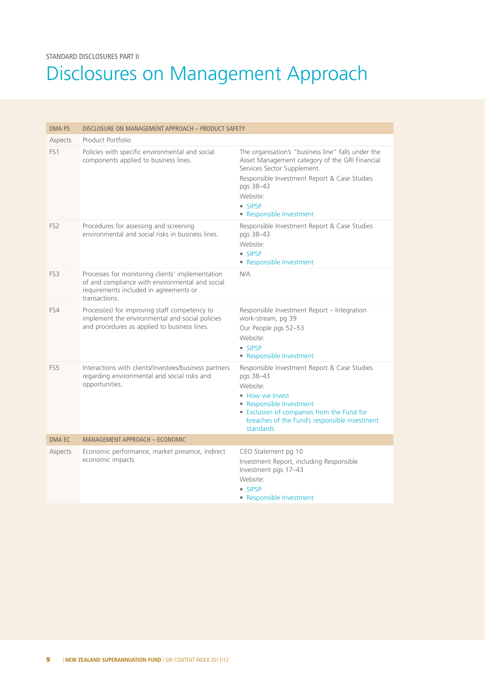# Disclosures on Management Approach

| <b>DMA PS</b>   | DISCLOSURE ON MANAGEMENT APPROACH - PRODUCT SAFETY                                                                                                             |                                                                                                                                                                                                                                                     |
|-----------------|----------------------------------------------------------------------------------------------------------------------------------------------------------------|-----------------------------------------------------------------------------------------------------------------------------------------------------------------------------------------------------------------------------------------------------|
| Aspects         | Product Portfolio                                                                                                                                              |                                                                                                                                                                                                                                                     |
| FS <sub>1</sub> | Policies with specific environmental and social<br>components applied to business lines.                                                                       | The organisation's "business line" falls under the<br>Asset Management category of the GRI Financial<br>Services Sector Supplement.<br>Responsible Investment Report & Case Studies<br>pgs 38-43<br>Website:<br>• SIPSP<br>• Responsible Investment |
| FS <sub>2</sub> | Procedures for assessing and screening<br>environmental and social risks in business lines.                                                                    | Responsible Investment Report & Case Studies<br>pgs 38-43<br>Website:<br>• SIPSP<br>• Responsible Investment                                                                                                                                        |
| FS3             | Processes for monitoring clients' implementation<br>of and compliance with environmental and social<br>requirements included in agreements or<br>transactions. | N/A                                                                                                                                                                                                                                                 |
| FS4             | Process(es) for improving staff competency to<br>implement the environmental and social policies<br>and procedures as applied to business lines.               | Responsible Investment Report - Integration<br>work-stream, pg 39<br>Our People pgs 52-53<br>Website:<br>• SIPSP<br>• Responsible Investment                                                                                                        |
| FS <sub>5</sub> | Interactions with clients/investees/business partners<br>regarding environmental and social risks and<br>opportunities.                                        | Responsible Investment Report & Case Studies<br>pgs 38-43<br>Website:<br>• How we Invest<br>• Responsible Investment<br>• Exclusion of companies from the Fund for<br>breaches of the Fund's responsible investment<br>standards                    |
| DMA EC          | MANAGEMENT APPROACH - ECONOMIC                                                                                                                                 |                                                                                                                                                                                                                                                     |
| Aspects         | Economic performance, market presence, indirect<br>economic impacts                                                                                            | CEO Statement pg 10<br>Investment Report, including Responsible<br>Investment pgs 17-43<br>Website:<br>• SIPSP<br>• Responsible Investment                                                                                                          |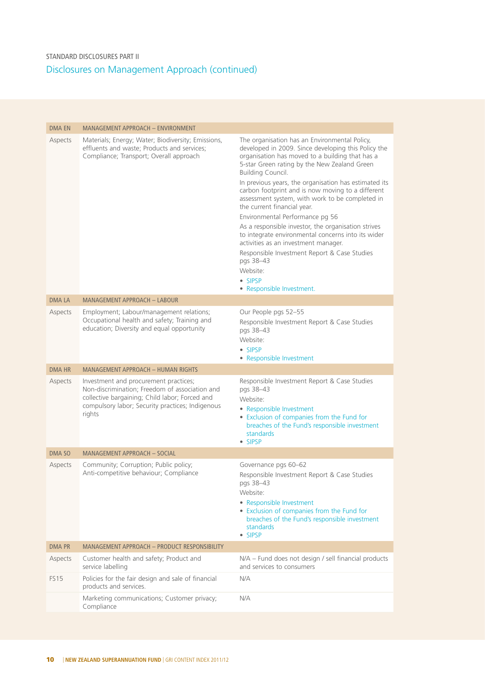| <b>DMA EN</b> | MANAGEMENT APPROACH - ENVIRONMENT                                                                                                                                                                       |                                                                                                                                                                                                                                                                                                                                                                                                                                                                                                                                                                                                                                                                                                                                       |
|---------------|---------------------------------------------------------------------------------------------------------------------------------------------------------------------------------------------------------|---------------------------------------------------------------------------------------------------------------------------------------------------------------------------------------------------------------------------------------------------------------------------------------------------------------------------------------------------------------------------------------------------------------------------------------------------------------------------------------------------------------------------------------------------------------------------------------------------------------------------------------------------------------------------------------------------------------------------------------|
| Aspects       | Materials; Energy; Water; Biodiversity; Emissions,<br>effluents and waste; Products and services;<br>Compliance; Transport; Overall approach                                                            | The organisation has an Environmental Policy,<br>developed in 2009. Since developing this Policy the<br>organisation has moved to a building that has a<br>5-star Green rating by the New Zealand Green<br>Building Council.<br>In previous years, the organisation has estimated its<br>carbon footprint and is now moving to a different<br>assessment system, with work to be completed in<br>the current financial year.<br>Environmental Performance pg 56<br>As a responsible investor, the organisation strives<br>to integrate environmental concerns into its wider<br>activities as an investment manager.<br>Responsible Investment Report & Case Studies<br>pgs 38-43<br>Website:<br>• SIPSP<br>• Responsible Investment. |
| <b>DMALA</b>  | MANAGEMENT APPROACH - LABOUR                                                                                                                                                                            |                                                                                                                                                                                                                                                                                                                                                                                                                                                                                                                                                                                                                                                                                                                                       |
| Aspects       | Employment; Labour/management relations;<br>Occupational health and safety; Training and<br>education; Diversity and equal opportunity                                                                  | Our People pgs 52-55<br>Responsible Investment Report & Case Studies<br>pgs 38-43<br>Website:<br>· SIPSP<br>• Responsible Investment                                                                                                                                                                                                                                                                                                                                                                                                                                                                                                                                                                                                  |
| <b>DMA HR</b> | <b>MANAGEMENT APPROACH - HUMAN RIGHTS</b>                                                                                                                                                               |                                                                                                                                                                                                                                                                                                                                                                                                                                                                                                                                                                                                                                                                                                                                       |
| Aspects       | Investment and procurement practices;<br>Non-discrimination; Freedom of association and<br>collective bargaining; Child labor; Forced and<br>compulsory labor; Security practices; Indigenous<br>rights | Responsible Investment Report & Case Studies<br>pgs 38-43<br>Website:<br>• Responsible Investment<br>• Exclusion of companies from the Fund for<br>breaches of the Fund's responsible investment<br>standards<br>• SIPSP                                                                                                                                                                                                                                                                                                                                                                                                                                                                                                              |
| <b>DMA SO</b> | <b>MANAGEMENT APPROACH - SOCIAL</b>                                                                                                                                                                     |                                                                                                                                                                                                                                                                                                                                                                                                                                                                                                                                                                                                                                                                                                                                       |
| Aspects       | Community; Corruption; Public policy;<br>Anti-competitive behaviour; Compliance                                                                                                                         | Governance pgs 60-62<br>Responsible Investment Report & Case Studies<br>pgs 38-43<br>Website:<br>• Responsible Investment<br>• Exclusion of companies from the Fund for<br>breaches of the Fund's responsible investment<br>standards<br>• SIPSP                                                                                                                                                                                                                                                                                                                                                                                                                                                                                      |
| <b>DMA PR</b> | MANAGEMENT APPROACH - PRODUCT RESPONSIBILITY                                                                                                                                                            |                                                                                                                                                                                                                                                                                                                                                                                                                                                                                                                                                                                                                                                                                                                                       |
| Aspects       | Customer health and safety; Product and<br>service labelling                                                                                                                                            | N/A - Fund does not design / sell financial products<br>and services to consumers                                                                                                                                                                                                                                                                                                                                                                                                                                                                                                                                                                                                                                                     |
| <b>FS15</b>   | Policies for the fair design and sale of financial<br>products and services.                                                                                                                            | N/A                                                                                                                                                                                                                                                                                                                                                                                                                                                                                                                                                                                                                                                                                                                                   |
|               | Marketing communications; Customer privacy;<br>Compliance                                                                                                                                               | N/A                                                                                                                                                                                                                                                                                                                                                                                                                                                                                                                                                                                                                                                                                                                                   |
|               |                                                                                                                                                                                                         |                                                                                                                                                                                                                                                                                                                                                                                                                                                                                                                                                                                                                                                                                                                                       |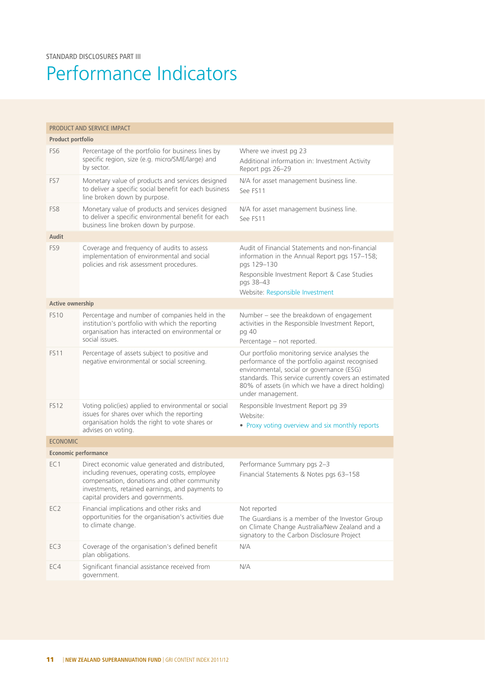# Performance Indicators

| PRODUCT AND SERVICE IMPACT  |                                                                                                                                                                                                                                           |                                                                                                                                                                                                                                                                                  |  |
|-----------------------------|-------------------------------------------------------------------------------------------------------------------------------------------------------------------------------------------------------------------------------------------|----------------------------------------------------------------------------------------------------------------------------------------------------------------------------------------------------------------------------------------------------------------------------------|--|
| Product portfolio           |                                                                                                                                                                                                                                           |                                                                                                                                                                                                                                                                                  |  |
| FS <sub>6</sub>             | Percentage of the portfolio for business lines by<br>specific region, size (e.g. micro/SME/large) and<br>by sector.                                                                                                                       | Where we invest pg 23<br>Additional information in: Investment Activity<br>Report pgs 26-29                                                                                                                                                                                      |  |
| FS7                         | Monetary value of products and services designed<br>to deliver a specific social benefit for each business<br>line broken down by purpose.                                                                                                | N/A for asset management business line.<br>See FS11                                                                                                                                                                                                                              |  |
| FS8                         | Monetary value of products and services designed<br>to deliver a specific environmental benefit for each<br>business line broken down by purpose.                                                                                         | N/A for asset management business line.<br>See FS11                                                                                                                                                                                                                              |  |
| <b>Audit</b>                |                                                                                                                                                                                                                                           |                                                                                                                                                                                                                                                                                  |  |
| FS9                         | Coverage and frequency of audits to assess<br>implementation of environmental and social<br>policies and risk assessment procedures.                                                                                                      | Audit of Financial Statements and non-financial<br>information in the Annual Report pgs 157-158;<br>pgs 129-130<br>Responsible Investment Report & Case Studies<br>pgs 38-43<br>Website: Responsible Investment                                                                  |  |
| Active ownership            |                                                                                                                                                                                                                                           |                                                                                                                                                                                                                                                                                  |  |
| <b>FS10</b>                 | Percentage and number of companies held in the<br>institution's portfolio with which the reporting<br>organisation has interacted on environmental or<br>social issues                                                                    | Number - see the breakdown of engagement<br>activities in the Responsible Investment Report,<br>pg 40<br>Percentage - not reported.                                                                                                                                              |  |
| <b>FS11</b>                 | Percentage of assets subject to positive and<br>negative environmental or social screening.                                                                                                                                               | Our portfolio monitoring service analyses the<br>performance of the portfolio against recognised<br>environmental, social or governance (ESG)<br>standards. This service currently covers an estimated<br>80% of assets (in which we have a direct holding)<br>under management. |  |
| <b>FS12</b>                 | Voting polic(ies) applied to environmental or social<br>issues for shares over which the reporting<br>organisation holds the right to vote shares or<br>advises on voting.                                                                | Responsible Investment Report pg 39<br>Website:<br>• Proxy voting overview and six monthly reports                                                                                                                                                                               |  |
| <b>ECONOMIC</b>             |                                                                                                                                                                                                                                           |                                                                                                                                                                                                                                                                                  |  |
| <b>Economic performance</b> |                                                                                                                                                                                                                                           |                                                                                                                                                                                                                                                                                  |  |
| EC <sub>1</sub>             | Direct economic value generated and distributed,<br>including revenues, operating costs, employee<br>compensation, donations and other community<br>investments, retained earnings, and payments to<br>capital providers and governments. | Performance Summary pgs 2-3<br>Financial Statements & Notes pgs 63-158                                                                                                                                                                                                           |  |
| EC <sub>2</sub>             | Financial implications and other risks and<br>opportunities for the organisation's activities due<br>to climate change.                                                                                                                   | Not reported<br>The Guardians is a member of the Investor Group<br>on Climate Change Australia/New Zealand and a<br>signatory to the Carbon Disclosure Project                                                                                                                   |  |
| EC <sub>3</sub>             | Coverage of the organisation's defined benefit<br>plan obligations.                                                                                                                                                                       | N/A                                                                                                                                                                                                                                                                              |  |
| EC4                         | Significant financial assistance received from<br>government.                                                                                                                                                                             | N/A                                                                                                                                                                                                                                                                              |  |
|                             |                                                                                                                                                                                                                                           |                                                                                                                                                                                                                                                                                  |  |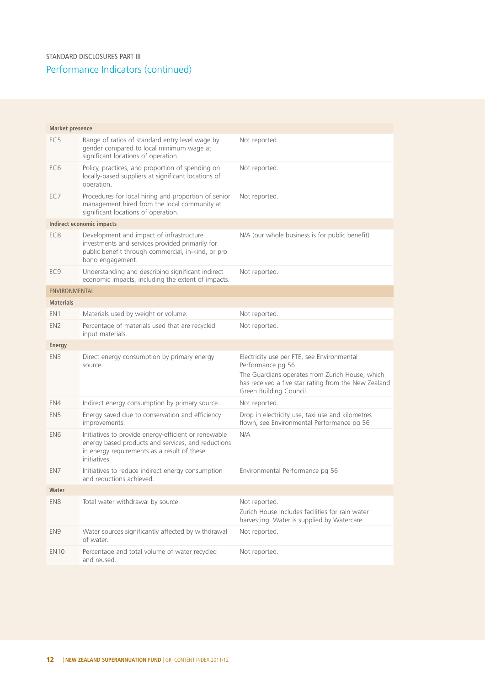| <b>Market presence</b> |                                                                                                                                                                           |                                                                                                                                                                                                      |
|------------------------|---------------------------------------------------------------------------------------------------------------------------------------------------------------------------|------------------------------------------------------------------------------------------------------------------------------------------------------------------------------------------------------|
|                        |                                                                                                                                                                           |                                                                                                                                                                                                      |
| EC <sub>5</sub>        | Range of ratios of standard entry level wage by<br>gender compared to local minimum wage at<br>significant locations of operation.                                        | Not reported.                                                                                                                                                                                        |
| EC <sub>6</sub>        | Policy, practices, and proportion of spending on<br>locally-based suppliers at significant locations of<br>operation.                                                     | Not reported.                                                                                                                                                                                        |
| EC7                    | Procedures for local hiring and proportion of senior<br>management hired from the local community at<br>significant locations of operation.                               | Not reported.                                                                                                                                                                                        |
|                        | Indirect economic impacts                                                                                                                                                 |                                                                                                                                                                                                      |
| EC <sub>8</sub>        | Development and impact of infrastructure<br>investments and services provided primarily for<br>public benefit through commercial, in-kind, or pro<br>bono engagement.     | N/A (our whole business is for public benefit)                                                                                                                                                       |
| EC <sub>9</sub>        | Understanding and describing significant indirect<br>economic impacts, including the extent of impacts.                                                                   | Not reported.                                                                                                                                                                                        |
| <b>ENVIRONMENTAL</b>   |                                                                                                                                                                           |                                                                                                                                                                                                      |
| <b>Materials</b>       |                                                                                                                                                                           |                                                                                                                                                                                                      |
| EN <sub>1</sub>        | Materials used by weight or volume.                                                                                                                                       | Not reported.                                                                                                                                                                                        |
| EN <sub>2</sub>        | Percentage of materials used that are recycled<br>input materials.                                                                                                        | Not reported.                                                                                                                                                                                        |
| Energy                 |                                                                                                                                                                           |                                                                                                                                                                                                      |
| EN <sub>3</sub>        | Direct energy consumption by primary energy<br>source.                                                                                                                    | Electricity use per FTE, see Environmental<br>Performance pg 56<br>The Guardians operates from Zurich House, which<br>has received a five star rating from the New Zealand<br>Green Building Council |
| EN4                    | Indirect energy consumption by primary source.                                                                                                                            | Not reported.                                                                                                                                                                                        |
| EN <sub>5</sub>        | Energy saved due to conservation and efficiency<br>improvements.                                                                                                          | Drop in electricity use, taxi use and kilometres<br>flown, see Environmental Performance pg 56                                                                                                       |
| EN <sub>6</sub>        | Initiatives to provide energy-efficient or renewable<br>energy based products and services, and reductions<br>in energy requirements as a result of these<br>initiatives. | N/A                                                                                                                                                                                                  |
| EN7                    | Initiatives to reduce indirect energy consumption<br>and reductions achieved.                                                                                             | Environmental Performance pg 56                                                                                                                                                                      |
| Water                  |                                                                                                                                                                           |                                                                                                                                                                                                      |
| EN8                    | Total water withdrawal by source.                                                                                                                                         | Not reported.<br>Zurich House includes facilities for rain water<br>harvesting. Water is supplied by Watercare.                                                                                      |
| EN <sub>9</sub>        | Water sources significantly affected by withdrawal<br>of water.                                                                                                           | Not reported.                                                                                                                                                                                        |
| <b>EN10</b>            | Percentage and total volume of water recycled<br>and reused.                                                                                                              | Not reported.                                                                                                                                                                                        |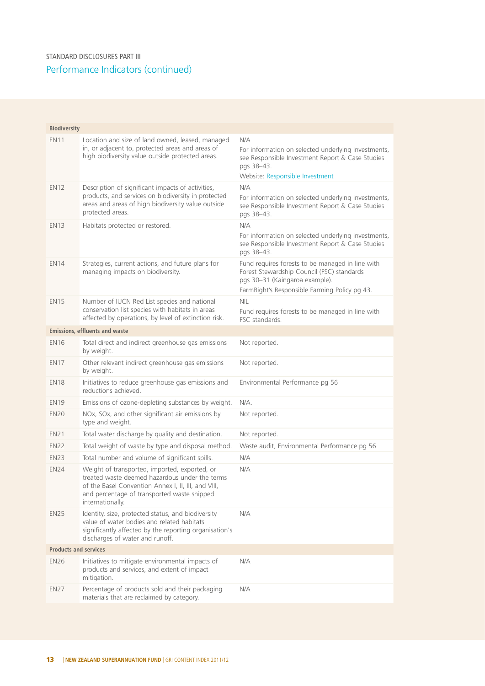| <b>Biodiversity</b>          |                                                                                                                                                                                                                           |                                                                                                                                                                                   |
|------------------------------|---------------------------------------------------------------------------------------------------------------------------------------------------------------------------------------------------------------------------|-----------------------------------------------------------------------------------------------------------------------------------------------------------------------------------|
| <b>EN11</b>                  | Location and size of land owned, leased, managed<br>in, or adjacent to, protected areas and areas of<br>high biodiversity value outside protected areas.                                                                  | N/A<br>For information on selected underlying investments,<br>see Responsible Investment Report & Case Studies<br>pgs 38-43.<br>Website: Responsible Investment                   |
| <b>EN12</b>                  | Description of significant impacts of activities,<br>products, and services on biodiversity in protected<br>areas and areas of high biodiversity value outside<br>protected areas.                                        | N/A<br>For information on selected underlying investments,<br>see Responsible Investment Report & Case Studies<br>pgs 38-43.                                                      |
| <b>EN13</b>                  | Habitats protected or restored.                                                                                                                                                                                           | N/A<br>For information on selected underlying investments,<br>see Responsible Investment Report & Case Studies<br>pgs 38-43.                                                      |
| <b>EN14</b>                  | Strategies, current actions, and future plans for<br>managing impacts on biodiversity.                                                                                                                                    | Fund requires forests to be managed in line with<br>Forest Stewardship Council (FSC) standards<br>pgs 30-31 (Kaingaroa example).<br>FarmRight's Responsible Farming Policy pg 43. |
| <b>EN15</b>                  | Number of IUCN Red List species and national<br>conservation list species with habitats in areas<br>affected by operations, by level of extinction risk.                                                                  | <b>NIL</b><br>Fund requires forests to be managed in line with<br>FSC standards.                                                                                                  |
|                              | <b>Emissions, effluents and waste</b>                                                                                                                                                                                     |                                                                                                                                                                                   |
| <b>EN16</b>                  | Total direct and indirect greenhouse gas emissions<br>by weight.                                                                                                                                                          | Not reported.                                                                                                                                                                     |
| <b>EN17</b>                  | Other relevant indirect greenhouse gas emissions<br>by weight.                                                                                                                                                            | Not reported.                                                                                                                                                                     |
| <b>EN18</b>                  | Initiatives to reduce greenhouse gas emissions and<br>reductions achieved.                                                                                                                                                | Environmental Performance pg 56                                                                                                                                                   |
| <b>EN19</b>                  | Emissions of ozone-depleting substances by weight.                                                                                                                                                                        | N/A.                                                                                                                                                                              |
| <b>EN20</b>                  | NOx, SOx, and other significant air emissions by<br>type and weight.                                                                                                                                                      | Not reported.                                                                                                                                                                     |
| <b>EN21</b>                  | Total water discharge by quality and destination.                                                                                                                                                                         | Not reported.                                                                                                                                                                     |
| <b>EN22</b>                  | Total weight of waste by type and disposal method.                                                                                                                                                                        | Waste audit, Environmental Performance pg 56                                                                                                                                      |
| <b>EN23</b>                  | Total number and volume of significant spills.                                                                                                                                                                            | N/A                                                                                                                                                                               |
| <b>EN24</b>                  | Weight of transported, imported, exported, or<br>treated waste deemed hazardous under the terms<br>of the Basel Convention Annex I, II, III, and VIII,<br>and percentage of transported waste shipped<br>internationally. | N/A                                                                                                                                                                               |
| <b>EN25</b>                  | Identity, size, protected status, and biodiversity<br>value of water bodies and related habitats<br>significantly affected by the reporting organisation's<br>discharges of water and runoff.                             | N/A                                                                                                                                                                               |
| <b>Products and services</b> |                                                                                                                                                                                                                           |                                                                                                                                                                                   |
| <b>EN26</b>                  | Initiatives to mitigate environmental impacts of<br>products and services, and extent of impact<br>mitigation.                                                                                                            | N/A                                                                                                                                                                               |
| <b>EN27</b>                  | Percentage of products sold and their packaging<br>materials that are reclaimed by category.                                                                                                                              | N/A                                                                                                                                                                               |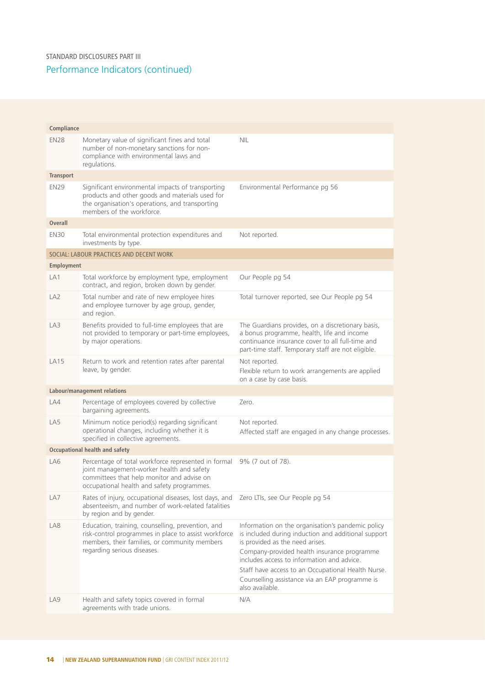Performance Indicators (continued) STANDARD DISCLOSURES PART III

| Compliance       |                                                                                                                                                                                              |                                                                                                                                                                                                                                                                                                                                                                     |
|------------------|----------------------------------------------------------------------------------------------------------------------------------------------------------------------------------------------|---------------------------------------------------------------------------------------------------------------------------------------------------------------------------------------------------------------------------------------------------------------------------------------------------------------------------------------------------------------------|
| <b>EN28</b>      | Monetary value of significant fines and total<br>number of non-monetary sanctions for non-<br>compliance with environmental laws and<br>regulations.                                         | <b>NIL</b>                                                                                                                                                                                                                                                                                                                                                          |
| <b>Transport</b> |                                                                                                                                                                                              |                                                                                                                                                                                                                                                                                                                                                                     |
| <b>EN29</b>      | Significant environmental impacts of transporting<br>products and other goods and materials used for<br>the organisation's operations, and transporting<br>members of the workforce.         | Environmental Performance pg 56                                                                                                                                                                                                                                                                                                                                     |
| <b>Overall</b>   |                                                                                                                                                                                              |                                                                                                                                                                                                                                                                                                                                                                     |
| <b>EN30</b>      | Total environmental protection expenditures and<br>investments by type.                                                                                                                      | Not reported.                                                                                                                                                                                                                                                                                                                                                       |
|                  | SOCIAL: LABOUR PRACTICES AND DECENT WORK                                                                                                                                                     |                                                                                                                                                                                                                                                                                                                                                                     |
| Employment       |                                                                                                                                                                                              |                                                                                                                                                                                                                                                                                                                                                                     |
| LA1              | Total workforce by employment type, employment<br>contract, and region, broken down by gender.                                                                                               | Our People pg 54                                                                                                                                                                                                                                                                                                                                                    |
| LA <sub>2</sub>  | Total number and rate of new employee hires<br>and employee turnover by age group, gender,<br>and region.                                                                                    | Total turnover reported, see Our People pg 54                                                                                                                                                                                                                                                                                                                       |
| LA3              | Benefits provided to full-time employees that are<br>not provided to temporary or part-time employees,<br>by major operations.                                                               | The Guardians provides, on a discretionary basis,<br>a bonus programme, health, life and income<br>continuance insurance cover to all full-time and<br>part-time staff. Temporary staff are not eligible.                                                                                                                                                           |
| <b>LA15</b>      | Return to work and retention rates after parental<br>leave, by gender.                                                                                                                       | Not reported.<br>Flexible return to work arrangements are applied<br>on a case by case basis.                                                                                                                                                                                                                                                                       |
|                  | Labour/management relations                                                                                                                                                                  |                                                                                                                                                                                                                                                                                                                                                                     |
| LA4              | Percentage of employees covered by collective<br>bargaining agreements.                                                                                                                      | Zero.                                                                                                                                                                                                                                                                                                                                                               |
| LA5              | Minimum notice period(s) regarding significant<br>operational changes, including whether it is<br>specified in collective agreements.                                                        | Not reported.<br>Affected staff are engaged in any change processes.                                                                                                                                                                                                                                                                                                |
|                  | Occupational health and safety                                                                                                                                                               |                                                                                                                                                                                                                                                                                                                                                                     |
| LA6              | Percentage of total workforce represented in formal<br>joint management-worker health and safety<br>committees that help monitor and advise on<br>occupational health and safety programmes. | 9% (7 out of 78).                                                                                                                                                                                                                                                                                                                                                   |
| LA7              | Rates of injury, occupational diseases, lost days, and<br>absenteeism, and number of work-related fatalities<br>by region and by gender.                                                     | Zero LTIs, see Our People pg 54                                                                                                                                                                                                                                                                                                                                     |
| LA8              | Education, training, counselling, prevention, and<br>risk-control programmes in place to assist workforce<br>members, their families, or community members<br>regarding serious diseases.    | Information on the organisation's pandemic policy<br>is included during induction and additional support<br>is provided as the need arises.<br>Company-provided health insurance programme<br>includes access to information and advice.<br>Staff have access to an Occupational Health Nurse.<br>Counselling assistance via an EAP programme is<br>also available. |
| LA9              | Health and safety topics covered in formal<br>agreements with trade unions.                                                                                                                  | N/A                                                                                                                                                                                                                                                                                                                                                                 |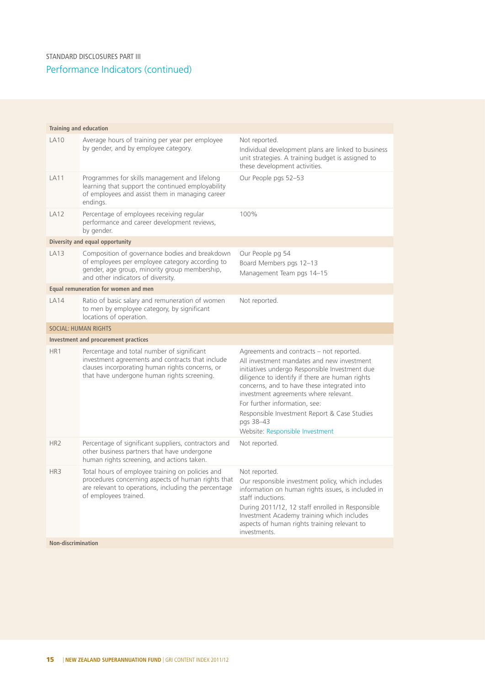| <b>Training and education</b> |                                                                                                                                                                                                  |                                                                                                                                                                                                                                                                                                                                                                                                                      |  |  |
|-------------------------------|--------------------------------------------------------------------------------------------------------------------------------------------------------------------------------------------------|----------------------------------------------------------------------------------------------------------------------------------------------------------------------------------------------------------------------------------------------------------------------------------------------------------------------------------------------------------------------------------------------------------------------|--|--|
| <b>LA10</b>                   | Average hours of training per year per employee<br>by gender, and by employee category.                                                                                                          | Not reported.<br>Individual development plans are linked to business<br>unit strategies. A training budget is assigned to<br>these development activities.                                                                                                                                                                                                                                                           |  |  |
| <b>LA11</b>                   | Programmes for skills management and lifelong<br>learning that support the continued employability<br>of employees and assist them in managing career<br>endings.                                | Our People pgs 52-53                                                                                                                                                                                                                                                                                                                                                                                                 |  |  |
| <b>LA12</b>                   | Percentage of employees receiving regular<br>performance and career development reviews,<br>by gender.                                                                                           | 100%                                                                                                                                                                                                                                                                                                                                                                                                                 |  |  |
|                               | Diversity and equal opportunity                                                                                                                                                                  |                                                                                                                                                                                                                                                                                                                                                                                                                      |  |  |
| LA13                          | Composition of governance bodies and breakdown<br>of employees per employee category according to<br>gender, age group, minority group membership,<br>and other indicators of diversity.         | Our People pg 54<br>Board Members pgs 12-13<br>Management Team pgs 14-15                                                                                                                                                                                                                                                                                                                                             |  |  |
|                               | Equal remuneration for women and men                                                                                                                                                             |                                                                                                                                                                                                                                                                                                                                                                                                                      |  |  |
| <b>LA14</b>                   | Ratio of basic salary and remuneration of women<br>to men by employee category, by significant<br>locations of operation.                                                                        | Not reported.                                                                                                                                                                                                                                                                                                                                                                                                        |  |  |
|                               | <b>SOCIAL: HUMAN RIGHTS</b>                                                                                                                                                                      |                                                                                                                                                                                                                                                                                                                                                                                                                      |  |  |
|                               | Investment and procurement practices                                                                                                                                                             |                                                                                                                                                                                                                                                                                                                                                                                                                      |  |  |
| HR <sub>1</sub>               | Percentage and total number of significant<br>investment agreements and contracts that include<br>clauses incorporating human rights concerns, or<br>that have undergone human rights screening. | Agreements and contracts - not reported.<br>All investment mandates and new investment<br>initiatives undergo Responsible Investment due<br>diligence to identify if there are human rights<br>concerns, and to have these integrated into<br>investment agreements where relevant.<br>For further information, see:<br>Responsible Investment Report & Case Studies<br>pgs 38-43<br>Website: Responsible Investment |  |  |
| HR <sub>2</sub>               | Percentage of significant suppliers, contractors and<br>other business partners that have undergone<br>human rights screening, and actions taken.                                                | Not reported.                                                                                                                                                                                                                                                                                                                                                                                                        |  |  |
| HR <sub>3</sub>               | Total hours of employee training on policies and<br>procedures concerning aspects of human rights that<br>are relevant to operations, including the percentage<br>of employees trained.          | Not reported.<br>Our responsible investment policy, which includes<br>information on human rights issues, is included in<br>staff inductions.<br>During 2011/12, 12 staff enrolled in Responsible<br>Investment Academy training which includes<br>aspects of human rights training relevant to<br>investments.                                                                                                      |  |  |
|                               | <b>Non-discrimination</b>                                                                                                                                                                        |                                                                                                                                                                                                                                                                                                                                                                                                                      |  |  |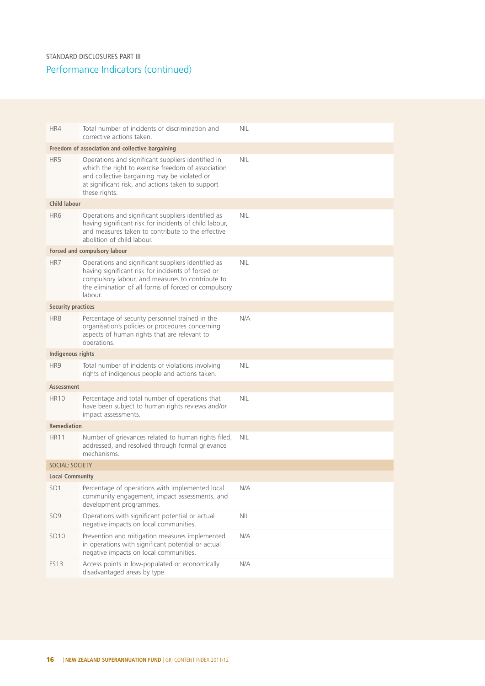| HR4                                              | Total number of incidents of discrimination and<br>corrective actions taken.                                                                                                                                                    | <b>NIL</b> |  |  |  |
|--------------------------------------------------|---------------------------------------------------------------------------------------------------------------------------------------------------------------------------------------------------------------------------------|------------|--|--|--|
| Freedom of association and collective bargaining |                                                                                                                                                                                                                                 |            |  |  |  |
| HR5                                              | Operations and significant suppliers identified in<br>which the right to exercise freedom of association<br>and collective bargaining may be violated or<br>at significant risk, and actions taken to support<br>these rights.  | <b>NIL</b> |  |  |  |
| <b>Child labour</b>                              |                                                                                                                                                                                                                                 |            |  |  |  |
| HR <sub>6</sub>                                  | Operations and significant suppliers identified as<br>having significant risk for incidents of child labour,<br>and measures taken to contribute to the effective<br>abolition of child labour.                                 | <b>NIL</b> |  |  |  |
|                                                  | Forced and compulsory labour                                                                                                                                                                                                    |            |  |  |  |
| HR7                                              | Operations and significant suppliers identified as<br>having significant risk for incidents of forced or<br>compulsory labour, and measures to contribute to<br>the elimination of all forms of forced or compulsory<br>labour. | <b>NIL</b> |  |  |  |
| <b>Security practices</b>                        |                                                                                                                                                                                                                                 |            |  |  |  |
| HR <sub>8</sub>                                  | Percentage of security personnel trained in the<br>organisation's policies or procedures concerning<br>aspects of human rights that are relevant to<br>operations.                                                              | N/A        |  |  |  |
| Indigenous rights                                |                                                                                                                                                                                                                                 |            |  |  |  |
| HR9                                              | Total number of incidents of violations involving<br>rights of indigenous people and actions taken.                                                                                                                             | <b>NIL</b> |  |  |  |
| Assessment                                       |                                                                                                                                                                                                                                 |            |  |  |  |
| <b>HR10</b>                                      | Percentage and total number of operations that<br>have been subject to human rights reviews and/or<br>impact assessments.                                                                                                       | <b>NIL</b> |  |  |  |
| <b>Remediation</b>                               |                                                                                                                                                                                                                                 |            |  |  |  |
| <b>HR11</b>                                      | Number of grievances related to human rights filed,<br>addressed, and resolved through formal grievance<br>mechanisms.                                                                                                          | <b>NIL</b> |  |  |  |
| <b>SOCIAL: SOCIETY</b>                           |                                                                                                                                                                                                                                 |            |  |  |  |
| <b>Local Community</b>                           |                                                                                                                                                                                                                                 |            |  |  |  |
| SO <sub>1</sub>                                  | Percentage of operations with implemented local<br>community engagement, impact assessments, and<br>development programmes.                                                                                                     | N/A        |  |  |  |
| SO <sub>9</sub>                                  | Operations with significant potential or actual<br>negative impacts on local communities.                                                                                                                                       | NIL        |  |  |  |
| SO10                                             | Prevention and mitigation measures implemented<br>in operations with significant potential or actual<br>negative impacts on local communities.                                                                                  | N/A        |  |  |  |
| <b>FS13</b>                                      | Access points in low-populated or economically<br>disadvantaged areas by type.                                                                                                                                                  | N/A        |  |  |  |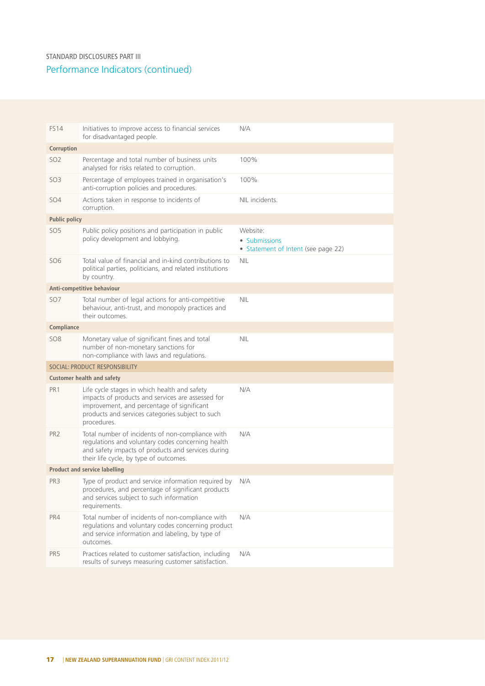#### Performance Indicators (continued) STANDARD DISCLOSURES PART III

| <b>FS14</b>                          | Initiatives to improve access to financial services<br>for disadvantaged people.                                                                                                                                   | N/A                                                              |  |  |  |
|--------------------------------------|--------------------------------------------------------------------------------------------------------------------------------------------------------------------------------------------------------------------|------------------------------------------------------------------|--|--|--|
| Corruption                           |                                                                                                                                                                                                                    |                                                                  |  |  |  |
| SO <sub>2</sub>                      | Percentage and total number of business units<br>analysed for risks related to corruption.                                                                                                                         | 100%                                                             |  |  |  |
| SO <sub>3</sub>                      | Percentage of employees trained in organisation's<br>anti-corruption policies and procedures.                                                                                                                      | 100%                                                             |  |  |  |
| SO <sub>4</sub>                      | Actions taken in response to incidents of<br>corruption.                                                                                                                                                           | NIL incidents.                                                   |  |  |  |
| <b>Public policy</b>                 |                                                                                                                                                                                                                    |                                                                  |  |  |  |
| SO <sub>5</sub>                      | Public policy positions and participation in public<br>policy development and lobbying.                                                                                                                            | Website:<br>• Submissions<br>• Statement of Intent (see page 22) |  |  |  |
| SO <sub>6</sub>                      | Total value of financial and in-kind contributions to<br>political parties, politicians, and related institutions<br>by country.                                                                                   | NIL                                                              |  |  |  |
|                                      | Anti-competitive behaviour                                                                                                                                                                                         |                                                                  |  |  |  |
| SO <sub>7</sub>                      | Total number of legal actions for anti-competitive<br>behaviour, anti-trust, and monopoly practices and<br>their outcomes.                                                                                         | <b>NIL</b>                                                       |  |  |  |
| Compliance                           |                                                                                                                                                                                                                    |                                                                  |  |  |  |
| <b>SO8</b>                           | Monetary value of significant fines and total<br>number of non-monetary sanctions for<br>non-compliance with laws and regulations.                                                                                 | <b>NIL</b>                                                       |  |  |  |
|                                      | SOCIAL: PRODUCT RESPONSIBILITY                                                                                                                                                                                     |                                                                  |  |  |  |
|                                      | <b>Customer health and safety</b>                                                                                                                                                                                  |                                                                  |  |  |  |
| PR <sub>1</sub>                      | Life cycle stages in which health and safety<br>impacts of products and services are assessed for<br>improvement, and percentage of significant<br>products and services categories subject to such<br>procedures. | N/A                                                              |  |  |  |
| PR <sub>2</sub>                      | Total number of incidents of non-compliance with<br>regulations and voluntary codes concerning health<br>and safety impacts of products and services during<br>their life cycle, by type of outcomes.              | N/A                                                              |  |  |  |
| <b>Product and service labelling</b> |                                                                                                                                                                                                                    |                                                                  |  |  |  |
| PR <sub>3</sub>                      | Type of product and service information required by N/A<br>procedures, and percentage of significant products<br>and services subject to such information<br>requirements.                                         |                                                                  |  |  |  |
| PR4                                  | Total number of incidents of non-compliance with<br>regulations and voluntary codes concerning product<br>and service information and labeling, by type of<br>outcomes.                                            | N/A                                                              |  |  |  |
| PR <sub>5</sub>                      | Practices related to customer satisfaction, including<br>results of surveys measuring customer satisfaction.                                                                                                       | N/A                                                              |  |  |  |
|                                      |                                                                                                                                                                                                                    |                                                                  |  |  |  |